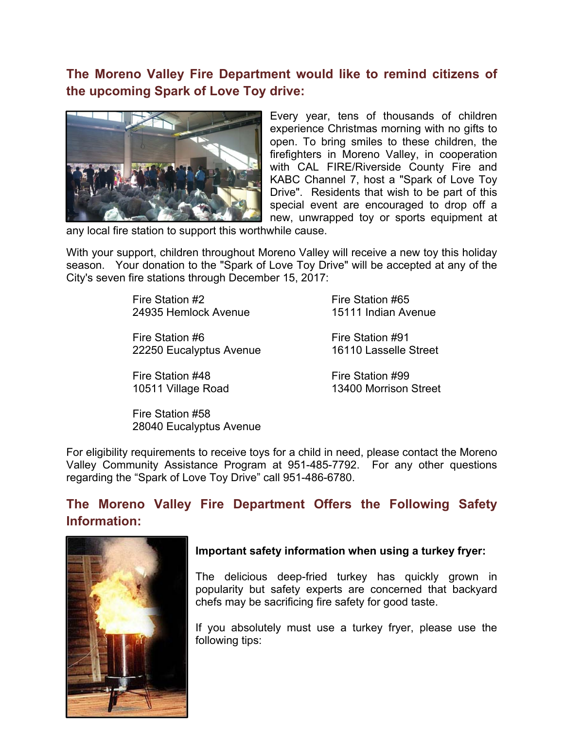# **The Moreno Valley Fire Department would like to remind citizens of the upcoming Spark of Love Toy drive:**



Every year, tens of thousands of children experience Christmas morning with no gifts to open. To bring smiles to these children, the firefighters in Moreno Valley, in cooperation with CAL FIRE/Riverside County Fire and KABC Channel 7, host a "Spark of Love Toy Drive". Residents that wish to be part of this special event are encouraged to drop off a new, unwrapped toy or sports equipment at

any local fire station to support this worthwhile cause.

With your support, children throughout Moreno Valley will receive a new toy this holiday season. Your donation to the "Spark of Love Toy Drive" will be accepted at any of the City's seven fire stations through December 15, 2017:

> Fire Station #2 Fire Station #65 24935 Hemlock Avenue 15111 Indian Avenue

Fire Station #6 Fire Station #91 22250 Eucalyptus Avenue 16110 Lasselle Street

Fire Station #48 Fire Station #99

10511 Village Road 13400 Morrison Street

Fire Station #58 28040 Eucalyptus Avenue

For eligibility requirements to receive toys for a child in need, please contact the Moreno Valley Community Assistance Program at 951-485-7792. For any other questions regarding the "Spark of Love Toy Drive" call 951-486-6780.

## **The Moreno Valley Fire Department Offers the Following Safety Information:**



#### **Important safety information when using a turkey fryer:**

The delicious deep-fried turkey has quickly grown in popularity but safety experts are concerned that backyard chefs may be sacrificing fire safety for good taste.

If you absolutely must use a turkey fryer, please use the following tips: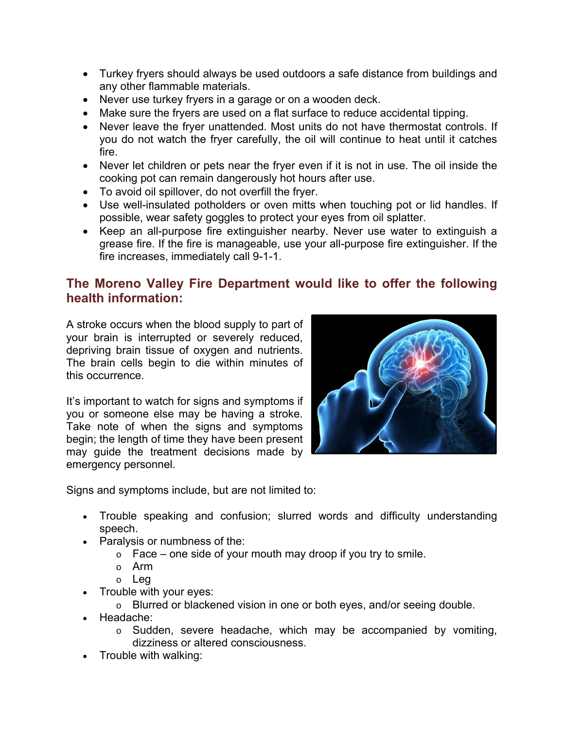- Turkey fryers should always be used outdoors a safe distance from buildings and any other flammable materials.
- Never use turkey fryers in a garage or on a wooden deck.
- Make sure the fryers are used on a flat surface to reduce accidental tipping.
- Never leave the fryer unattended. Most units do not have thermostat controls. If you do not watch the fryer carefully, the oil will continue to heat until it catches fire.
- Never let children or pets near the fryer even if it is not in use. The oil inside the cooking pot can remain dangerously hot hours after use.
- To avoid oil spillover, do not overfill the fryer.
- Use well-insulated potholders or oven mitts when touching pot or lid handles. If possible, wear safety goggles to protect your eyes from oil splatter.
- Keep an all-purpose fire extinguisher nearby. Never use water to extinguish a grease fire. If the fire is manageable, use your all-purpose fire extinguisher. If the fire increases, immediately call 9-1-1.

## **The Moreno Valley Fire Department would like to offer the following health information:**

A stroke occurs when the blood supply to part of your brain is interrupted or severely reduced, depriving brain tissue of oxygen and nutrients. The brain cells begin to die within minutes of this occurrence.

It's important to watch for signs and symptoms if you or someone else may be having a stroke. Take note of when the signs and symptoms begin; the length of time they have been present may guide the treatment decisions made by emergency personnel.



Signs and symptoms include, but are not limited to:

- Trouble speaking and confusion; slurred words and difficulty understanding speech.
- Paralysis or numbness of the:
	- $\circ$  Face one side of your mouth may droop if you try to smile.
	- o Arm
	- o Leg
- Trouble with your eyes:
	- o Blurred or blackened vision in one or both eyes, and/or seeing double.
- Headache:
	- o Sudden, severe headache, which may be accompanied by vomiting, dizziness or altered consciousness.
- Trouble with walking: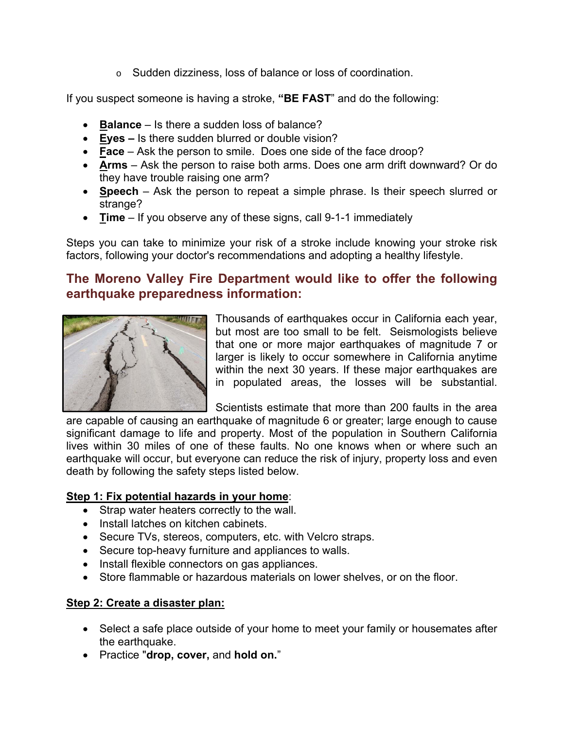o Sudden dizziness, loss of balance or loss of coordination.

If you suspect someone is having a stroke, **"BE FAST**" and do the following:

- **Balance** Is there a sudden loss of balance?
- **Eyes** Is there sudden blurred or double vision?
- **Face** Ask the person to smile. Does one side of the face droop?
- **Arms** Ask the person to raise both arms. Does one arm drift downward? Or do they have trouble raising one arm?
- **Speech** Ask the person to repeat a simple phrase. Is their speech slurred or strange?
- **Time** If you observe any of these signs, call 9-1-1 immediately

Steps you can take to minimize your risk of a stroke include knowing your stroke risk factors, following your doctor's recommendations and adopting a healthy lifestyle.

## **The Moreno Valley Fire Department would like to offer the following earthquake preparedness information:**



Thousands of earthquakes occur in California each year, but most are too small to be felt. Seismologists believe that one or more major earthquakes of magnitude 7 or larger is likely to occur somewhere in California anytime within the next 30 years. If these major earthquakes are in populated areas, the losses will be substantial.

Scientists estimate that more than 200 faults in the area

are capable of causing an earthquake of magnitude 6 or greater; large enough to cause significant damage to life and property. Most of the population in Southern California lives within 30 miles of one of these faults. No one knows when or where such an earthquake will occur, but everyone can reduce the risk of injury, property loss and even death by following the safety steps listed below.

## **Step 1: Fix potential hazards in your home**:

- Strap water heaters correctly to the wall.
- Install latches on kitchen cabinets.
- Secure TVs, stereos, computers, etc. with Velcro straps.
- Secure top-heavy furniture and appliances to walls.
- Install flexible connectors on gas appliances.
- Store flammable or hazardous materials on lower shelves, or on the floor.

## **Step 2: Create a disaster plan:**

- Select a safe place outside of your home to meet your family or housemates after the earthquake.
- Practice "**drop, cover,** and **hold on.**"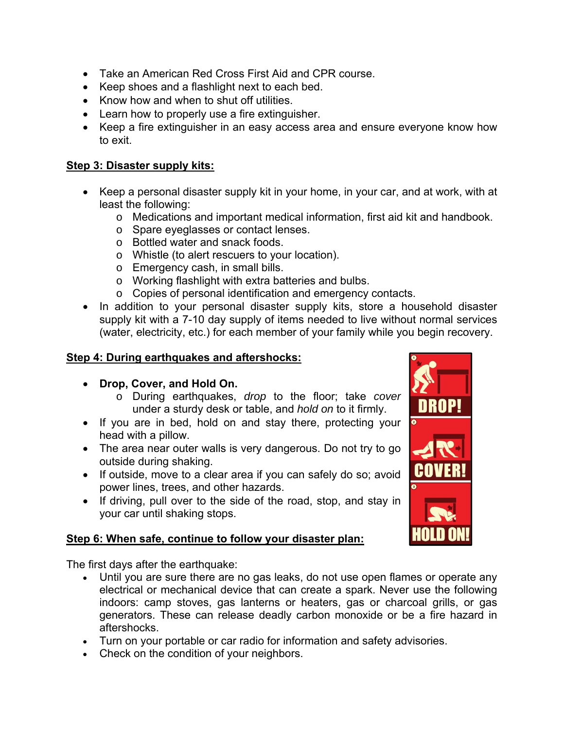- Take an American Red Cross First Aid and CPR course.
- Keep shoes and a flashlight next to each bed.
- Know how and when to shut off utilities.
- Learn how to properly use a fire extinguisher.
- Keep a fire extinguisher in an easy access area and ensure everyone know how to exit.

#### **Step 3: Disaster supply kits:**

- Keep a personal disaster supply kit in your home, in your car, and at work, with at least the following:
	- o Medications and important medical information, first aid kit and handbook.
	- o Spare eyeglasses or contact lenses.
	- o Bottled water and snack foods.
	- o Whistle (to alert rescuers to your location).
	- o Emergency cash, in small bills.
	- o Working flashlight with extra batteries and bulbs.
	- o Copies of personal identification and emergency contacts.
- In addition to your personal disaster supply kits, store a household disaster supply kit with a 7-10 day supply of items needed to live without normal services (water, electricity, etc.) for each member of your family while you begin recovery.

### **Step 4: During earthquakes and aftershocks:**

- **Drop, Cover, and Hold On.**
	- o During earthquakes, *drop* to the floor; take *cover* under a sturdy desk or table, and *hold on* to it firmly.
- If you are in bed, hold on and stay there, protecting your head with a pillow.
- The area near outer walls is very dangerous. Do not try to go outside during shaking.
- If outside, move to a clear area if you can safely do so; avoid power lines, trees, and other hazards.
- If driving, pull over to the side of the road, stop, and stay in your car until shaking stops.

### **Step 6: When safe, continue to follow your disaster plan:**

The first days after the earthquake:

- Until you are sure there are no gas leaks, do not use open flames or operate any electrical or mechanical device that can create a spark. Never use the following indoors: camp stoves, gas lanterns or heaters, gas or charcoal grills, or gas generators. These can release deadly carbon monoxide or be a fire hazard in aftershocks.
- Turn on your portable or car radio for information and safety advisories.
- Check on the condition of your neighbors.